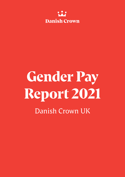

# **Gender Pay Report 2021** Danish Crown UK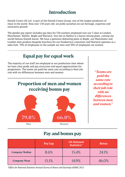### **Introduction**

Danish Crown UK Ltd. is part of the Danish Crown Group, one of the largest producers of meat in the world. Now over 130 years old, we pride ourselves on our heritage, expertise and innovative growth.

The gender pay report includes pay data for 536 workers employed over our 5 sites at London, Manchester, Halifax, Bugle and Warwick. Our site in Halifax is a bacon slicing plant, cutting our world famous Danish bacon. We have a gammon deboning plant in Bugle, our Manchester and London sites produce bespoke butchery for our foodservice customers and Warwick operates as a sales hub. 70% of employees in the sample are men and 30% of employees are women.

#### **Equal pay for equal work Proportion of men and women receiving bonus pay** The majority of our staff are employed at our production sites where we have clear grade and pay structures and equal opportunities for progression. The teams are paid the same rate according to their job role with no differences between men and women. *"Teams are paid the same rate according to their job role with no differences between men and women."* Men Women **79.8% 66.0%**

#### **Pay and bonus pay**

|                       | Pay Gap | <b>UK National</b><br>Statistics* | <b>Bonus</b> |
|-----------------------|---------|-----------------------------------|--------------|
| <b>Company Median</b> | 8.6%    | 15.4%                             | 24.1%        |
| <b>Company Mean</b>   | 15.1%   | 14.9%                             | 46.0%        |

*\*Office for National Statistics Annual Survey of Hours and Earnings (ASHE) 2021*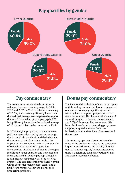### **Pay quartiles by gender**



## **Pay commentary**

The company has made steady progress in reducing the mean gender pay gap by 1% in 2018 and 2.6% in 2019 to achieve a mean gap of 13.7%, which was significantly lower than the national average. We are pleased to report that our 8.6% median gender pay gap in 2021 is significantly lower than the national average of 15.4% and is below that reported in 2019.

In 2020 a higher proportion of men in lower paid jobs were self-isolating and on furlough due to the Covid pandemic and their data was therefore excluded from the sample. The impact of this, combined with a TUPE transfer of several senior male colleagues, has increased the distribution of men in the upper middle and upper quartiles and increased our mean and median gender pay gap, though it is still broadly comparable with the national average. The company employs several women within the senior management teams and a significant number within the higher paid production positions.

#### **Bonus pay commentary**

The increased distribution of men in the upper middle and upper quartiles has also increased our gender bonus pay gap, though we are working hard to support progression to our more senior roles. This includes the launch of a global program to develop our top leaders and 50% of those enrolled are women. We have also introduced a mentoring program to support progression to our front line leadership roles and we have plans to extend this further.

The company operates a bonus scheme for most of the production roles at the company's largest production site. As the eligibility for bonus is applied equally to men and women there is a relatively even distribution of men and women receiving a bonus.